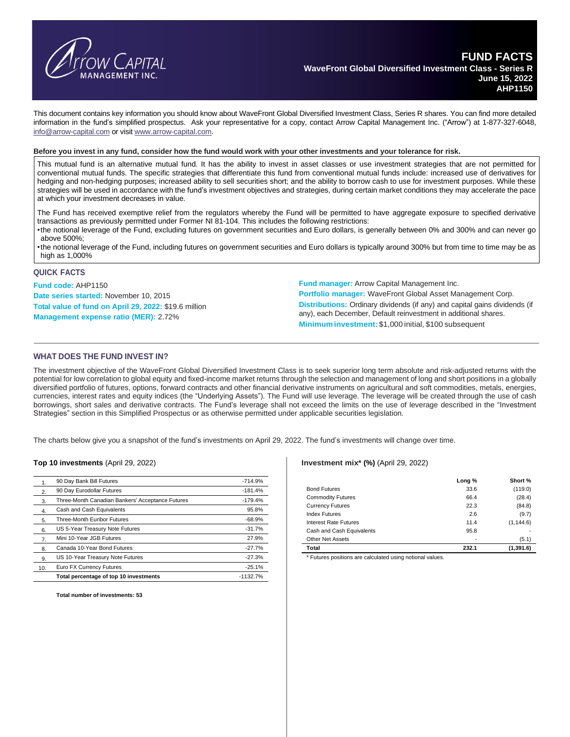

This document contains key information you should know about WaveFront Global Diversified Investment Class, Series R shares. You can find more detailed information in the fund's simplified prospectus. Ask your representative for a copy, contact Arrow Capital Management Inc. ("Arrow") at 1-877-327-6048, [info@arrow-capital.com](mailto:info@arrow-capital.com) or visit [www.arrow-capital.com.](http://www.arrow-capital.com/)

#### Before you invest in any fund, consider how the fund would work with your other investments and your tolerance for risk.

This mutual fund is an alternative mutual fund. It has the ability to invest in asset classes or use investment strategies that are not permitted for conventional mutual funds. The specific strategies that differentiate this fund from conventional mutual funds include: increased use of derivatives for hedging and non-hedging purposes; increased ability to sell securities short; and the ability to borrow cash to use for investment purposes. While these strategies will be used in accordance with the fund's investment objectives and strategies, during certain market conditions they may accelerate the pace at which your investment decreases in value.

The Fund has received exemptive relief from the regulators whereby the Fund will be permitted to have aggregate exposure to specified derivative transactions as previously permitted under Former NI 81-104. This includes the following restrictions:

•the notional leverage of the Fund, excluding futures on government securities and Euro dollars, is generally between 0% and 300% and can never go above 500%;

•the notional leverage of the Fund, including futures on government securities and Euro dollars is typically around 300% but from time to time may be as high as 1,000%

#### **QUICK FACTS**

**Fund code:** AHP1150 **Date series started:** November 10, 2015 **Total value of fund on April 29, 2022:** \$19.6 million **Management expense ratio (MER):** 2.72%

**Fund manager:** Arrow Capital Management Inc.

**Portfolio manager:** WaveFront Global Asset Management Corp. **Distributions:** Ordinary dividends (if any) and capital gains dividends (if any), each December, Default reinvestment in additional shares. **Minimuminvestment:** \$1,000 initial, \$100 subsequent

### **WHAT DOES THE FUND INVEST IN?**

The investment objective of the WaveFront Global Diversified Investment Class is to seek superior long term absolute and risk-adjusted returns with the potential for low correlation to global equity and fixed-income market returns through the selection and management of long and short positions in a globally diversified portfolio of futures, options, forward contracts and other financial derivative instruments on agricultural and soft commodities, metals, energies, currencies, interest rates and equity indices (the "Underlying Assets"). The Fund will use leverage. The leverage will be created through the use of cash borrowings, short sales and derivative contracts. The Fund's leverage shall not exceed the limits on the use of leverage described in the "Investment Strategies" section in this Simplified Prospectus or as otherwise permitted under applicable securities legislation.

The charts below give you a snapshot of the fund's investments on April 29, 2022. The fund's investments will change over time.

#### **Top 10 investments** (April 29, 2022)

|                | 90 Day Bank Bill Futures                         | $-714.9%$  |
|----------------|--------------------------------------------------|------------|
| 2.             | 90 Day Eurodollar Futures                        | $-181.4%$  |
| 3.             | Three-Month Canadian Bankers' Acceptance Futures | $-179.4%$  |
| 4.             | Cash and Cash Equivalents                        | 95.8%      |
| 5.             | Three-Month Euribor Futures                      | $-68.9%$   |
| 6.             | US 5-Year Treasury Note Futures                  | $-31.7%$   |
| 7 <sub>1</sub> | Mini 10-Year JGB Futures                         | 27.9%      |
| 8.             | Canada 10-Year Bond Futures                      | $-27.7%$   |
| 9.             | US 10-Year Treasury Note Futures                 | $-27.3%$   |
| 10.            | Euro FX Currency Futures                         | $-25.1%$   |
|                | Total percentage of top 10 investments           | $-1132.7%$ |

**Total number of investments: 53**

#### **Investment mix\* (%)** (April 29, 2022)

|                              | Long % | Short %    |
|------------------------------|--------|------------|
| <b>Bond Futures</b>          | 33.6   | (119.0)    |
| <b>Commodity Futures</b>     | 66.4   | (28.4)     |
| <b>Currency Futures</b>      | 22.3   | (84.8)     |
| <b>Index Futures</b>         | 2.6    | (9.7)      |
| <b>Interest Rate Futures</b> | 11.4   | (1, 144.6) |
| Cash and Cash Equivalents    | 95.8   |            |
| <b>Other Net Assets</b>      | -      | (5.1)      |
| Total                        | 232.1  | (1,391.6)  |

\* Futures positions are calculated using notional values.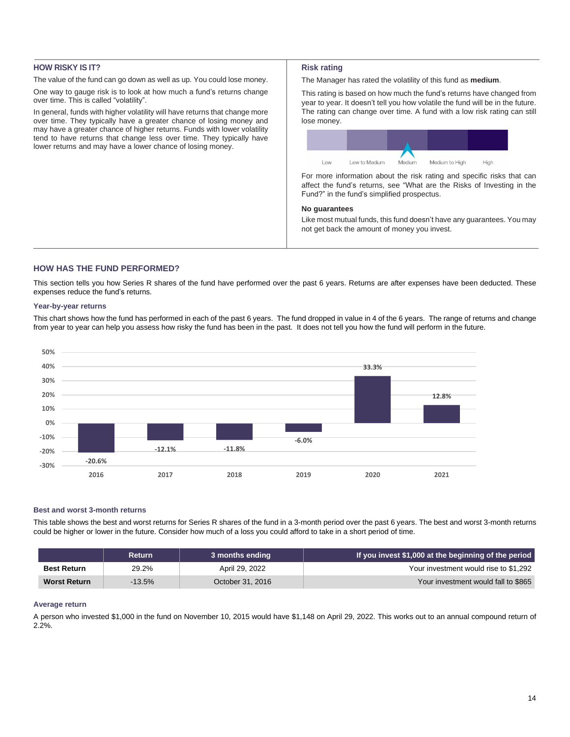# **HOW RISKY IS IT?**

The value of the fund can go down as well as up. You could lose money.

One way to gauge risk is to look at how much a fund's returns change over time. This is called "volatility".

In general, funds with higher volatility will have returns that change more over time. They typically have a greater chance of losing money and may have a greater chance of higher returns. Funds with lower volatility tend to have returns that change less over time. They typically have lower returns and may have a lower chance of losing money.

### **Risk rating**

The Manager has rated the volatility of this fund as **medium**.

This rating is based on how much the fund's returns have changed from year to year. It doesn't tell you how volatile the fund will be in the future. The rating can change over time. A fund with a low risk rating can still lose money.



For more information about the risk rating and specific risks that can affect the fund's returns, see "What are the Risks of Investing in the Fund?" in the fund's simplified prospectus.

## **No guarantees**

Like most mutual funds, this fund doesn't have any guarantees. You may not get back the amount of money you invest.

## **HOW HAS THE FUND PERFORMED?**

This section tells you how Series R shares of the fund have performed over the past 6 years. Returns are after expenses have been deducted. These expenses reduce the fund's returns.

### **Year-by-year returns**

This chart shows how the fund has performed in each of the past 6 years. The fund dropped in value in 4 of the 6 years. The range of returns and change from year to year can help you assess how risky the fund has been in the past. It does not tell you how the fund will perform in the future.



#### **Best and worst 3-month returns**

This table shows the best and worst returns for Series R shares of the fund in a 3-month period over the past 6 years. The best and worst 3-month returns could be higher or lower in the future. Consider how much of a loss you could afford to take in a short period of time.

|                     | <b>Return</b> | 3 months ending  | If you invest \$1,000 at the beginning of the period |
|---------------------|---------------|------------------|------------------------------------------------------|
| <b>Best Return</b>  | 29.2%         | April 29, 2022   | Your investment would rise to \$1,292                |
| <b>Worst Return</b> | $-13.5\%$     | October 31, 2016 | Your investment would fall to \$865                  |

## **Average return**

A person who invested \$1,000 in the fund on November 10, 2015 would have \$1,148 on April 29, 2022. This works out to an annual compound return of 2.2%.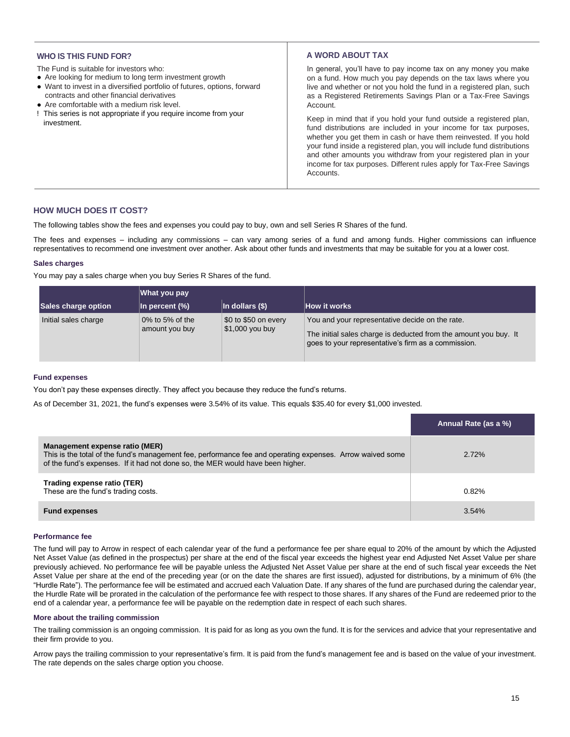## **WHO IS THIS FUND FOR?**

The Fund is suitable for investors who:

- Are looking for medium to long term investment growth
- Want to invest in a diversified portfolio of futures, options, forward contracts and other financial derivatives
- Are comfortable with a medium risk level.
- ! This series is not appropriate if you require income from your investment.

## **A WORD ABOUT TAX**

In general, you'll have to pay income tax on any money you make on a fund. How much you pay depends on the tax laws where you live and whether or not you hold the fund in a registered plan, such as a Registered Retirements Savings Plan or a Tax-Free Savings Account.

Keep in mind that if you hold your fund outside a registered plan, fund distributions are included in your income for tax purposes, whether you get them in cash or have them reinvested. If you hold your fund inside a registered plan, you will include fund distributions and other amounts you withdraw from your registered plan in your income for tax purposes. Different rules apply for Tax-Free Savings **Accounts** 

# **HOW MUCH DOES IT COST?**

The following tables show the fees and expenses you could pay to buy, own and sell Series R Shares of the fund.

The fees and expenses – including any commissions – can vary among series of a fund and among funds. Higher commissions can influence representatives to recommend one investment over another. Ask about other funds and investments that may be suitable for you at a lower cost.

### **Sales charges**

You may pay a sales charge when you buy Series R Shares of the fund.

|                      | What you pay                         |                                          |                                                                                                                                                                            |  |
|----------------------|--------------------------------------|------------------------------------------|----------------------------------------------------------------------------------------------------------------------------------------------------------------------------|--|
| Sales charge option  | In percent (%)                       | $\ln$ dollars (\$)                       | How it works                                                                                                                                                               |  |
| Initial sales charge | $0\%$ to 5% of the<br>amount you buy | \$0 to \$50 on every<br>$$1,000$ you buy | You and your representative decide on the rate.<br>The initial sales charge is deducted from the amount you buy. It<br>goes to your representative's firm as a commission. |  |

### **Fund expenses**

You don't pay these expenses directly. They affect you because they reduce the fund's returns.

As of December 31, 2021, the fund's expenses were 3.54% of its value. This equals \$35.40 for every \$1,000 invested.

|                                                                                                                                                                                                                               | Annual Rate (as a %) |
|-------------------------------------------------------------------------------------------------------------------------------------------------------------------------------------------------------------------------------|----------------------|
| Management expense ratio (MER)<br>This is the total of the fund's management fee, performance fee and operating expenses. Arrow waived some<br>of the fund's expenses. If it had not done so, the MER would have been higher. | $2.72\%$             |
| Trading expense ratio (TER)<br>These are the fund's trading costs.                                                                                                                                                            | 0.82%                |
| <b>Fund expenses</b>                                                                                                                                                                                                          | 3.54%                |

### **Performance fee**

The fund will pay to Arrow in respect of each calendar year of the fund a performance fee per share equal to 20% of the amount by which the Adjusted Net Asset Value (as defined in the prospectus) per share at the end of the fiscal year exceeds the highest year end Adjusted Net Asset Value per share previously achieved. No performance fee will be payable unless the Adjusted Net Asset Value per share at the end of such fiscal year exceeds the Net Asset Value per share at the end of the preceding year (or on the date the shares are first issued), adjusted for distributions, by a minimum of 6% (the "Hurdle Rate"). The performance fee will be estimated and accrued each Valuation Date. If any shares of the fund are purchased during the calendar year, the Hurdle Rate will be prorated in the calculation of the performance fee with respect to those shares. If any shares of the Fund are redeemed prior to the end of a calendar year, a performance fee will be payable on the redemption date in respect of each such shares.

#### **More about the trailing commission**

The trailing commission is an ongoing commission. It is paid for as long as you own the fund. It is for the services and advice that your representative and their firm provide to you.

Arrow pays the trailing commission to your representative's firm. It is paid from the fund's management fee and is based on the value of your investment. The rate depends on the sales charge option you choose.